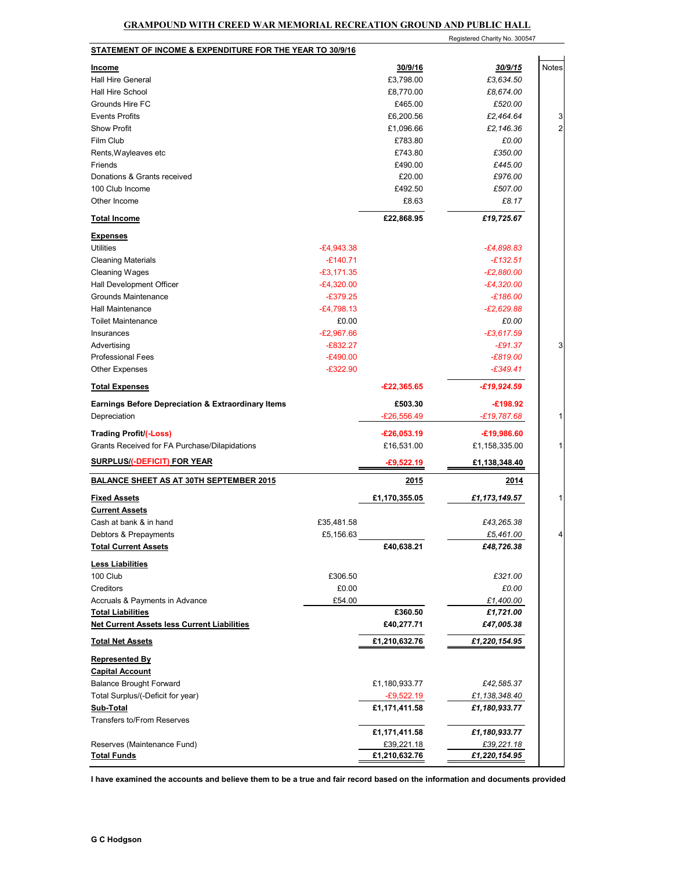## **GRAMPOUND WITH CREED WAR MEMORIAL RECREATION GROUND AND PUBLIC HALL**

|                                                               |                            |                             | Registered Charity No. 300547 |                |
|---------------------------------------------------------------|----------------------------|-----------------------------|-------------------------------|----------------|
| STATEMENT OF INCOME & EXPENDITURE FOR THE YEAR TO 30/9/16     |                            |                             |                               |                |
| <b>Income</b>                                                 |                            | 30/9/16                     | 30/9/15                       | <b>Notes</b>   |
| <b>Hall Hire General</b>                                      |                            | £3,798.00                   | £3,634.50                     |                |
| <b>Hall Hire School</b>                                       |                            | £8,770.00                   | £8,674.00                     |                |
| Grounds Hire FC                                               |                            | £465.00                     | £520.00                       |                |
| <b>Events Profits</b>                                         |                            | £6,200.56                   | £2,464.64                     | 3              |
| <b>Show Profit</b>                                            |                            | £1,096.66                   | £2,146.36                     | $\overline{2}$ |
| Film Club                                                     |                            | £783.80                     | £0.00                         |                |
| Rents, Wayleaves etc                                          |                            | £743.80                     | £350.00                       |                |
| Friends                                                       |                            | £490.00                     | £445.00                       |                |
| Donations & Grants received                                   |                            | £20.00                      | £976.00                       |                |
| 100 Club Income                                               |                            | £492.50                     | £507.00                       |                |
| Other Income                                                  |                            | £8.63                       | £8.17                         |                |
| <b>Total Income</b>                                           |                            | £22,868.95                  | £19,725.67                    |                |
|                                                               |                            |                             |                               |                |
| <b>Expenses</b><br>Utilities                                  | $-E4,943.38$               |                             | -£4,898.83                    |                |
| <b>Cleaning Materials</b>                                     | $-£140.71$                 |                             | $-£132.51$                    |                |
|                                                               | $-£3,171.35$               |                             | $-E2,880.00$                  |                |
| <b>Cleaning Wages</b><br>Hall Development Officer             |                            |                             | $-E4,320.00$                  |                |
| Grounds Maintenance                                           | $-E4,320.00$<br>$-£379.25$ |                             | £186.00-                      |                |
| <b>Hall Maintenance</b>                                       | $-E4,798.13$               |                             |                               |                |
|                                                               |                            |                             | -£2,629.88                    |                |
| <b>Toilet Maintenance</b>                                     | £0.00<br>$-E2,967.66$      |                             | £0.00                         |                |
| Insurances                                                    | $-E832.27$                 |                             | $-£3,617.59$                  | 3              |
| Advertising                                                   |                            |                             | $-E91.37$<br>$-E819.00$       |                |
| <b>Professional Fees</b>                                      | $-E490.00$<br>$-£322.90$   |                             |                               |                |
| <b>Other Expenses</b>                                         |                            |                             | $-£349.41$                    |                |
| <b>Total Expenses</b>                                         |                            | $-£22,365.65$               | $-£19,924.59$                 |                |
| <b>Earnings Before Depreciation &amp; Extraordinary Items</b> |                            | £503.30                     | $-£198.92$                    |                |
| Depreciation                                                  |                            | £26,556.49                  | £19,787.68                    | 1              |
| Trading Profit/(-Loss)                                        |                            | $-£26,053.19$               | $-£19,986.60$                 |                |
| Grants Received for FA Purchase/Dilapidations                 |                            | £16,531.00                  | £1,158,335.00                 | 1              |
| <b>SURPLUS/(-DEFICIT) FOR YEAR</b>                            |                            | $-£9,522.19$                | £1,138,348.40                 |                |
| <b>BALANCE SHEET AS AT 30TH SEPTEMBER 2015</b>                |                            | 2015                        | 2014                          |                |
|                                                               |                            | £1,170,355.05               | £1,173,149.57                 | 1              |
| <b>Fixed Assets</b><br><b>Current Assets</b>                  |                            |                             |                               |                |
| Cash at bank & in hand                                        | £35,481.58                 |                             | £43,265.38                    |                |
| Debtors & Prepayments                                         | £5,156.63                  |                             | £5,461.00                     | 4              |
| <b>Total Current Assets</b>                                   |                            | £40,638.21                  | £48,726.38                    |                |
|                                                               |                            |                             |                               |                |
| <b>Less Liabilities</b>                                       |                            |                             |                               |                |
| 100 Club                                                      | £306.50                    |                             | £321.00                       |                |
| Creditors                                                     | £0.00                      |                             | £0.00                         |                |
| Accruals & Payments in Advance                                | £54.00                     |                             | £1,400.00                     |                |
| <b>Total Liabilities</b>                                      |                            | £360.50                     | £1,721.00                     |                |
| <b>Net Current Assets less Current Liabilities</b>            |                            | £40,277.71                  | £47,005.38                    |                |
| <b>Total Net Assets</b>                                       |                            | £1,210,632.76               | £1,220,154.95                 |                |
| <b>Represented By</b>                                         |                            |                             |                               |                |
| <b>Capital Account</b>                                        |                            |                             |                               |                |
| <b>Balance Brought Forward</b>                                |                            | £1,180,933.77               | £42,585.37                    |                |
| Total Surplus/(-Deficit for year)                             |                            | -£9,522.19                  | £1,138,348.40                 |                |
| <b>Sub-Total</b>                                              |                            | £1,171,411.58               | £1,180,933.77                 |                |
| <b>Transfers to/From Reserves</b>                             |                            |                             |                               |                |
|                                                               |                            | £1,171,411.58               | £1,180,933.77                 |                |
| Reserves (Maintenance Fund)<br><b>Total Funds</b>             |                            | £39,221.18<br>£1,210,632.76 | £39,221.18<br>£1,220,154.95   |                |
|                                                               |                            |                             |                               |                |

**I have examined the accounts and believe them to be a true and fair record based on the information and documents provided**